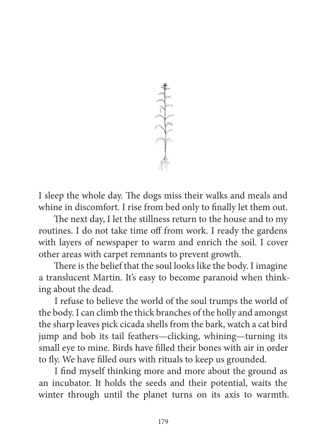

I sleep the whole day. The dogs miss their walks and meals and whine in discomfort. I rise from bed only to finally let them out.

The next day, I let the stillness return to the house and to my routines. I do not take time off from work. I ready the gardens with layers of newspaper to warm and enrich the soil. I cover other areas with carpet remnants to prevent growth.

There is the belief that the soul looks like the body. I imagine a translucent Martin. It's easy to become paranoid when thinking about the dead.

I refuse to believe the world of the soul trumps the world of the body. I can climb the thick branches of the holly and amongst the sharp leaves pick cicada shells from the bark, watch a cat bird jump and bob its tail feathers—clicking, whining—turning its small eye to mine. Birds have filled their bones with air in order to fly. We have filled ours with rituals to keep us grounded.

I find myself thinking more and more about the ground as an incubator. It holds the seeds and their potential, waits the winter through until the planet turns on its axis to warmth.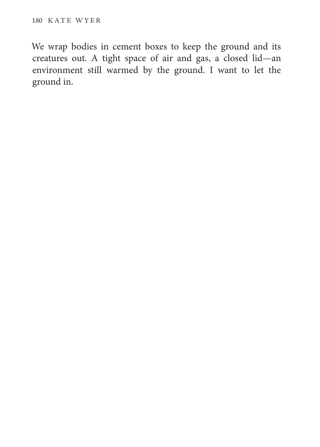We wrap bodies in cement boxes to keep the ground and its creatures out. A tight space of air and gas, a closed lid—an environment still warmed by the ground. I want to let the ground in.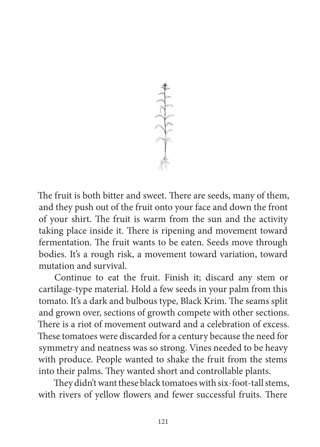

The fruit is both bitter and sweet. There are seeds, many of them, and they push out of the fruit onto your face and down the front of your shirt. The fruit is warm from the sun and the activity taking place inside it. There is ripening and movement toward fermentation. The fruit wants to be eaten. Seeds move through bodies. It's a rough risk, a movement toward variation, toward mutation and survival.

Continue to eat the fruit. Finish it; discard any stem or cartilage-type material. Hold a few seeds in your palm from this tomato. It's a dark and bulbous type, Black Krim. The seams split and grown over, sections of growth compete with other sections. There is a riot of movement outward and a celebration of excess. These tomatoes were discarded for a century because the need for symmetry and neatness was so strong. Vines needed to be heavy with produce. People wanted to shake the fruit from the stems into their palms. They wanted short and controllable plants.

They didn't want these black tomatoes with six-foot-tall stems, with rivers of yellow flowers and fewer successful fruits. There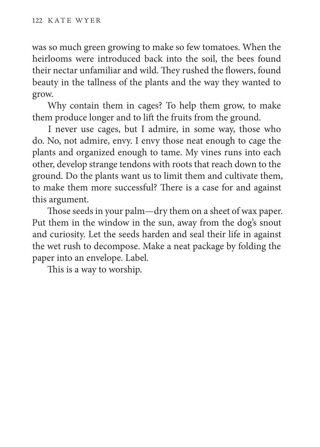was so much green growing to make so few tomatoes. When the heirlooms were introduced back into the soil, the bees found their nectar unfamiliar and wild. They rushed the flowers, found beauty in the tallness of the plants and the way they wanted to grow.

Why contain them in cages? To help them grow, to make them produce longer and to lift the fruits from the ground.

I never use cages, but I admire, in some way, those who do. No, not admire, envy. I envy those neat enough to cage the plants and organized enough to tame. My vines runs into each other, develop strange tendons with roots that reach down to the ground. Do the plants want us to limit them and cultivate them, to make them more successful? There is a case for and against this argument.

Those seeds in your palm—dry them on a sheet of wax paper. Put them in the window in the sun, away from the dog's snout and curiosity. Let the seeds harden and seal their life in against the wet rush to decompose. Make a neat package by folding the paper into an envelope. Label.

This is a way to worship.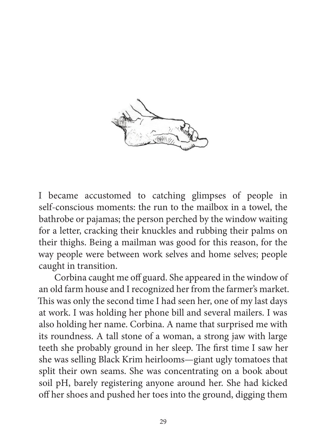

I became accustomed to catching glimpses of people in self-conscious moments: the run to the mailbox in a towel, the bathrobe or pajamas; the person perched by the window waiting for a letter, cracking their knuckles and rubbing their palms on their thighs. Being a mailman was good for this reason, for the way people were between work selves and home selves; people caught in transition.

Corbina caught me off guard. She appeared in the window of an old farm house and I recognized her from the farmer's market. This was only the second time I had seen her, one of my last days at work. I was holding her phone bill and several mailers. I was also holding her name. Corbina. A name that surprised me with its roundness. A tall stone of a woman, a strong jaw with large teeth she probably ground in her sleep. The first time I saw her she was selling Black Krim heirlooms—giant ugly tomatoes that split their own seams. She was concentrating on a book about soil pH, barely registering anyone around her. She had kicked off her shoes and pushed her toes into the ground, digging them